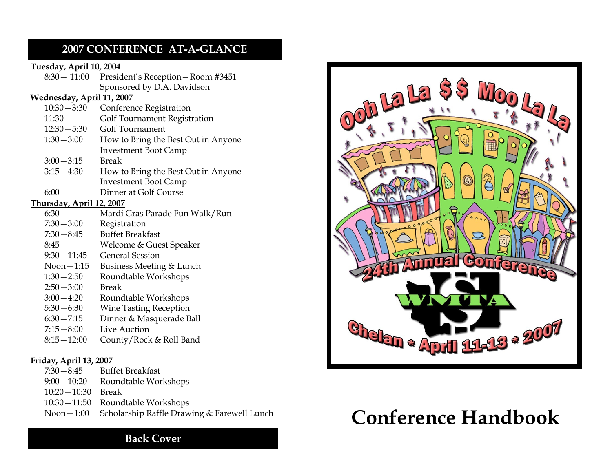## **2007 CONFERENCE AT-A-GLANCE**

#### **Tuesday, April 10, 2004**

|                                  | $8:30 - 11:00$                    | President's Reception - Room #3451  |
|----------------------------------|-----------------------------------|-------------------------------------|
|                                  |                                   | Sponsored by D.A. Davidson          |
|                                  | <u> Wednesday, April 11, 2007</u> |                                     |
|                                  | $10:30 - 3:30$                    | Conference Registration             |
|                                  | 11:30                             | Golf Tournament Registration        |
|                                  | $12:30 - 5:30$                    | Golf Tournament                     |
|                                  | $1:30 - 3:00$                     | How to Bring the Best Out in Anyone |
|                                  |                                   | <b>Investment Boot Camp</b>         |
|                                  | $3:00 - 3:15$                     | Break                               |
|                                  | $3:15 - 4:30$                     | How to Bring the Best Out in Anyone |
|                                  |                                   | <b>Investment Boot Camp</b>         |
|                                  | 6:00                              | Dinner at Golf Course               |
| <u> Thursday, April 12, 2007</u> |                                   |                                     |
|                                  | 6:30                              | Mardi Gras Parade Fun Walk/Run      |
|                                  | $7:30 - 3:00$                     | Registration                        |
|                                  | $7:30 - 8:45$                     | <b>Buffet Breakfast</b>             |
|                                  | 8:45                              | Welcome & Guest Speaker             |
|                                  | $9:30 - 11:45$                    | <b>General Session</b>              |
|                                  | Noon $-1:15$                      | Business Meeting & Lunch            |
|                                  | $1:30 - 2:50$                     | Roundtable Workshops                |
|                                  | $2:50 - 3:00$                     | <b>Break</b>                        |
|                                  | $3:00 - 4:20$                     | Roundtable Workshops                |
|                                  | $5:30 - 6:30$                     | <b>Wine Tasting Reception</b>       |
|                                  | $6:30 - 7:15$                     | Dinner & Masquerade Ball            |
|                                  | $7:15 - 8:00$                     | Live Auction                        |
|                                  | $8:15 - 12:00$                    | County/Rock & Roll Band             |
|                                  |                                   |                                     |

#### **Friday, April 13, 2007**

| $7:30-8:45$         | <b>Buffet Breakfast</b>                                 |
|---------------------|---------------------------------------------------------|
| $9:00-10:20$        | Roundtable Workshops                                    |
| $10:20-10:30$ Break |                                                         |
|                     | 10:30 - 11:50 Roundtable Workshops                      |
|                     | Noon – 1:00 Scholarship Raffle Drawing & Farewell Lunch |
|                     |                                                         |



# **Conference Handbook**

## **Back Cover**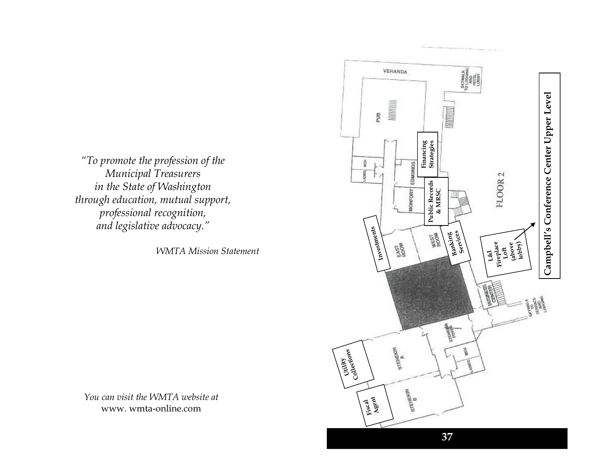*"To promote the profession of the Municipal Treasurers in the State of Washington through education, mutual support, professional recognition, and legislative advocacy."*

*WMTA Mission Statement*

*You can visit the WMTA website at* www. wmta -online.com

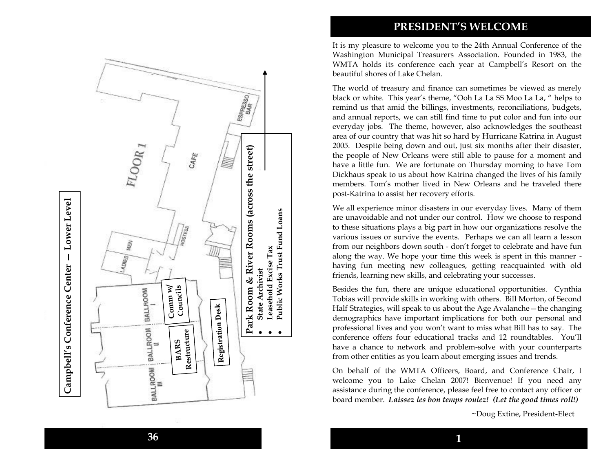## **PRESIDENT'S WELCOME**

It is my pleasure to welcome you to the 24th Annual Conference of the Washington Municipal Treasurers Association. Founded in 1983, the WMTA holds its conference each year at Campbell's Resort on the beautiful shores of Lake Chelan.

The world of treasury and finance can sometimes be viewed as merely black or white. This year's theme, "Ooh La La \$\$ Moo La La, " helps to remind us that amid the billings, investments, reconciliations, budgets, and annual reports, we can still find time to put color and fun into our everyday jobs. The theme, however, also acknowledges the southeast area of our country that was hit so hard by Hurricane Katrina in August 2005. Despite being down and out, just six months after their disaster, the people of New Orleans were still able to pause for a moment and have a little fun. We are fortunate on Thursday morning to have Tom Dickhaus speak to us about how Katrina changed the lives of his family members. Tom's mother lived in New Orleans and he traveled there post -Katrina to assist her recovery efforts.

We all experience minor disasters in our everyday lives. Many of them are unavoidable and not under our control. How we choose to respond to these situations plays a big part in how our organizations resolve the various issues or survive the events. Perhaps we can all learn a lesson from our neighbors down south - don't forget to celebrate and have fun along the way. We hope your time this week is spent in this manner having fun meeting new colleagues, getting reacquainted with old friends, learning new skills, and celebrating your successes.

Besides the fun, there are unique educational opportunities. Cynthia Tobias will provide skills in working with others. Bill Morton, of Second Half Strategies, will speak to us about the Age Avalanche —the changing demographics have important implications for both our personal and professional lives and you won't want to miss what Bill has to say. The conference offers four educational tracks and 12 roundtables. You'll have a chance to network and problem -solve with your counterparts from other entities as you learn about emerging issues and trends.

On behalf of the WMTA Officers, Board, and Conference Chair, I welcome you to Lake Chelan 2007! Bienvenue! If you need any assistance during the conference, please feel free to contact any officer or board member. *Laissez les bon temps roulez! (Let the good times roll!)*

**~**Doug Extine, President -Elect

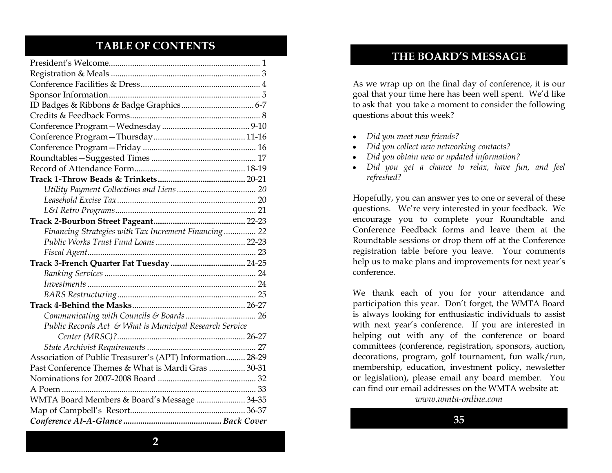## **TABLE OF CONTENTS**

| Financing Strategies with Tax Increment Financing 22      |
|-----------------------------------------------------------|
|                                                           |
|                                                           |
|                                                           |
|                                                           |
|                                                           |
|                                                           |
|                                                           |
|                                                           |
| Public Records Act & What is Municipal Research Service   |
|                                                           |
|                                                           |
| Association of Public Treasurer's (APT) Information 28-29 |
| Past Conference Themes & What is Mardi Gras  30-31        |
|                                                           |
|                                                           |
| WMTA Board Members & Board's Message  34-35               |
|                                                           |
|                                                           |

## **THE BOARD'S MESSAGE**

As we wrap up on the final day of conference, it is our goal that your time here has been well spent. We'd like to ask that you take a moment to consider the following questions about this week?

- *Did you meet new friends?*
- *Did you collect new networking contacts?*
- *Did you obtain new or updated information?*
- *Did you get a chance to relax, have fun, and feel refreshed?*

Hopefully, you can answer yes to one or several of these questions. We're very interested in your feedback. We encourage you to complete your Roundtable and Conference Feedback forms and leave them at the Roundtable sessions or drop them off at the Conference registration table before you leave. Your comments help us to make plans and improvements for next year's conference.

We thank each of you for your attendance and participation this year. Don't forget, the WMTA Board is always looking for enthusiastic individuals to assist with next year's conference. If you are interested in helping out with any of the conference or board committees (conference, registration, sponsors, auction, decorations, program, golf tournament, fun walk/run, membership, education, investment policy, newsletter or legislation), please email any board member. You can find our email addresses on the WMTA website at:

*www.wmta-online.com*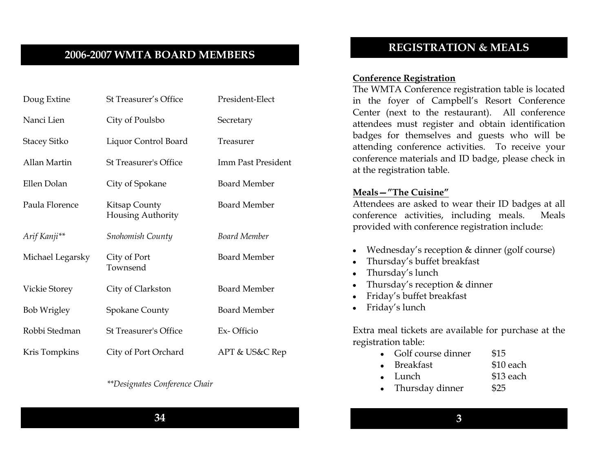## **2006-2007 WMTA BOARD MEMBERS**

| Doug Extine          | St Treasurer's Office                     | President-Elect     |
|----------------------|-------------------------------------------|---------------------|
| Nanci Lien           | City of Poulsbo                           | Secretary           |
| <b>Stacey Sitko</b>  | Liquor Control Board                      | Treasurer           |
| Allan Martin         | <b>St Treasurer's Office</b>              | Imm Past President  |
| Ellen Dolan          | City of Spokane                           | <b>Board Member</b> |
| Paula Florence       | Kitsap County<br><b>Housing Authority</b> | <b>Board Member</b> |
| Arif Kanji**         | <b>Snohomish County</b>                   | <b>Board Member</b> |
| Michael Legarsky     | City of Port<br>Townsend                  | <b>Board Member</b> |
| <b>Vickie Storey</b> | City of Clarkston                         | <b>Board Member</b> |
| <b>Bob Wrigley</b>   | <b>Spokane County</b>                     | <b>Board Member</b> |
| Robbi Stedman        | <b>St Treasurer's Office</b>              | Ex-Officio          |
| Kris Tompkins        | City of Port Orchard                      | APT & US&C Rep      |

#### *\*\*Designates Conference Chair*

## **REGISTRATION & MEALS**

#### **Conference Registration**

The WMTA Conference registration table is located in the foyer of Campbell's Resort Conference Center (next to the restaurant). All conference attendees must register and obtain identification badges for themselves and guests who will be attending conference activities. To receive your conference materials and ID badge, please check in at the registration table.

#### **Meals—"The Cuisine"**

Attendees are asked to wear their ID badges at all conference activities, including meals. Meals provided with conference registration include:

- Wednesday's reception & dinner (golf course)
- Thursday's buffet breakfast
- Thursday's lunch
- Thursday's reception & dinner
- Friday's buffet breakfast
- Friday's lunch

Extra meal tickets are available for purchase at the registration table:

- Golf course dinner \$15
	- Breakfast \$10 each
- Lunch \$13 each
- Thursday dinner \$25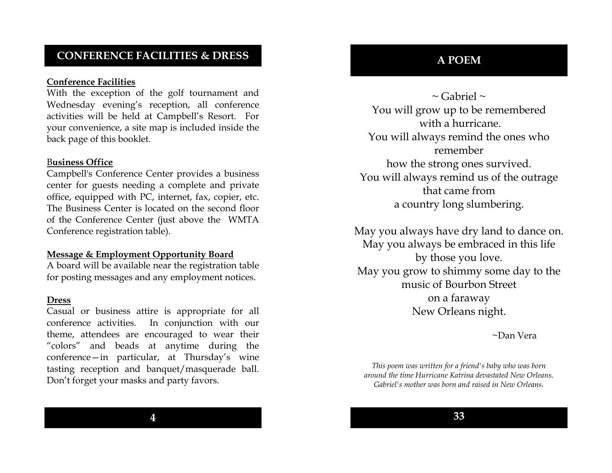## **CONFERENCE FACILITIES & DRESS**

#### **Conference Facilities**

With the exception of the golf tournament and Wednesday evening's reception, all conference activities will be held at Campbell's Resort. For your convenience, a site map is included inside the back page of this booklet.

#### B**usiness Office**

Campbell's Conference Center provides a business center for guests needing a complete and private office, equipped with PC, internet, fax, copier, etc. The Business Center is located on the second floor of the Conference Center (just above the WMTA Conference registration table).

#### **Message & Employment Opportunity Board**

A board will be available near the registration table for posting messages and any employment notices.

#### **Dress**

Casual or business attire is appropriate for all conference activities. In conjunction with our theme, attendees are encouraged to wear their "colors" and beads at anytime during the conference—in particular, at Thursday's wine tasting reception and banquet/masquerade ball. Don't forget your masks and party favors.

 $\sim$  Gabriel  $\sim$ You will grow up to be remembered with a hurricane. You will always remind the ones who remember how the strong ones survived. You will always remind us of the outrage that came from a country long slumbering.

May you always have dry land to dance on. May you always be embraced in this life by those you love. May you grow to shimmy some day to the music of Bourbon Street on a faraway New Orleans night.

~Dan Vera

*This poem was written for a friend's baby who was born around the time Hurricane Katrina devastated New Orleans. Gabriel's mother was born and raised in New Orleans.*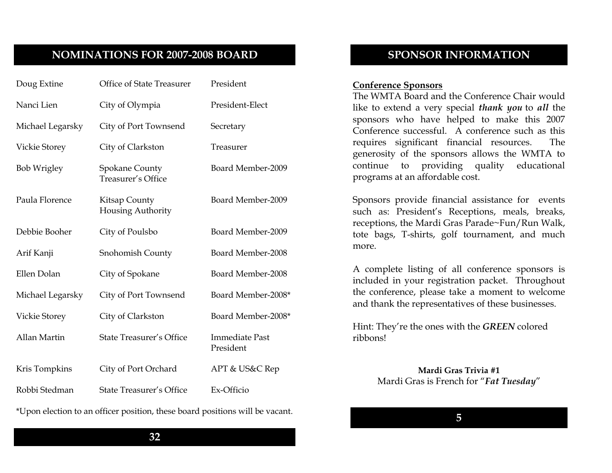## **NOMINATIONS FOR 2007-2008 BOARD**

| Doug Extine          | Office of State Treasurer                   | President                          |
|----------------------|---------------------------------------------|------------------------------------|
| Nanci Lien           | City of Olympia                             | President-Elect                    |
| Michael Legarsky     | City of Port Townsend                       | Secretary                          |
| Vickie Storey        | City of Clarkston                           | Treasurer                          |
| <b>Bob Wrigley</b>   | <b>Spokane County</b><br>Treasurer's Office | Board Member-2009                  |
| Paula Florence       | Kitsap County<br>Housing Authority          | Board Member-2009                  |
| Debbie Booher        | City of Poulsbo                             | Board Member-2009                  |
| Arif Kanji           | Snohomish County                            | Board Member-2008                  |
| Ellen Dolan          | City of Spokane                             | Board Member-2008                  |
| Michael Legarsky     | City of Port Townsend                       | Board Member-2008*                 |
| <b>Vickie Storey</b> | City of Clarkston                           | Board Member-2008*                 |
| Allan Martin         | <b>State Treasurer's Office</b>             | <b>Immediate Past</b><br>President |
| Kris Tompkins        | City of Port Orchard                        | APT & US&C Rep                     |
| Robbi Stedman        |                                             |                                    |
|                      | <b>State Treasurer's Office</b>             | Ex-Officio                         |

\*Upon election to an officer position, these board positions will be vacant.

## **SPONSOR INFORMATION**

#### **Conference Sponsors**

The WMTA Board and the Conference Chair would like to extend a very special *thank you* to *all* the sponsors who have helped to make this 2007 Conference successful. A conference such as this requires significant financial resources. The generosity of the sponsors allows the WMTA to continue to providing quality educational programs at an affordable cost.

Sponsors provide financial assistance for events such as: President's Receptions, meals, breaks, receptions, the Mardi Gras Parade~Fun/Run Walk, tote bags, T-shirts, golf tournament, and much more.

A complete listing of all conference sponsors is included in your registration packet. Throughout the conference, please take a moment to welcome and thank the representatives of these businesses.

Hint: They're the ones with the *GREEN* colored ribbons!

> **Mardi Gras Trivia #1** Mardi Gras is French for "Fat Tuesday"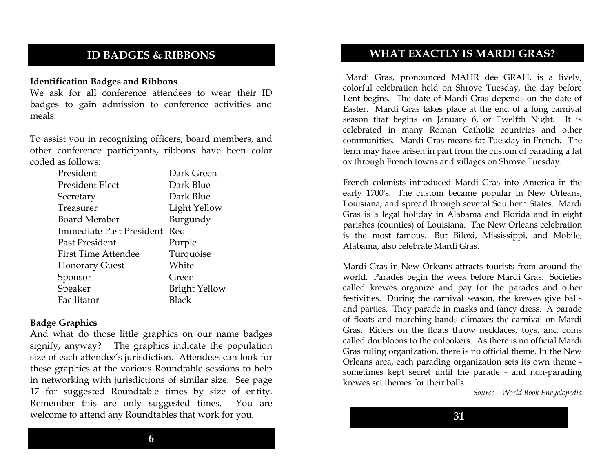## **ID BADGES & RIBBONS**

#### **Identification Badges and Ribbons**

We ask for all conference attendees to wear their ID badges to gain admission to conference activities and meals.

To assist you in recognizing officers, board members, and other conference participants, ribbons have been color coded as follows:

| Dark Green           |
|----------------------|
| Dark Blue            |
| Dark Blue            |
| Light Yellow         |
| Burgundy             |
| Red                  |
| Purple               |
| Turquoise            |
| White                |
| Green                |
| <b>Bright Yellow</b> |
| Black                |
|                      |

#### **Badge Graphics**

And what do those little graphics on our name badges signify, anyway? The graphics indicate the population size of each attendee's jurisdiction. Attendees can look for these graphics at the various Roundtable sessions to help in networking with jurisdictions of similar size. See page 17 for suggested Roundtable times by size of entity. Remember this are only suggested times. You are welcome to attend any Roundtables that work for you.

## **WHAT EXACTLY IS MARDI GRAS?**

"Mardi Gras, pronounced MAHR dee GRAH, is a lively, colorful celebration held on Shrove Tuesday, the day before Lent begins. The date of Mardi Gras depends on the date of Easter. Mardi Gras takes place at the end of a long carnival season that begins on January 6, or Twelfth Night. It is celebrated in many Roman Catholic countries and other communities. Mardi Gras means fat Tuesday in French. The term may have arisen in part from the custom of parading a fat ox through French towns and villages on Shrove Tuesday.

French colonists introduced Mardi Gras into America in the early 1700's. The custom became popular in New Orleans, Louisiana, and spread through several Southern States. Mardi Gras is a legal holiday in Alabama and Florida and in eight parishes (counties) of Louisiana. The New Orleans celebration is the most famous. But Biloxi, Mississippi, and Mobile, Alabama, also celebrate Mardi Gras.

Mardi Gras in New Orleans attracts tourists from around the world. Parades begin the week before Mardi Gras. Societies called krewes organize and pay for the parades and other festivities. During the carnival season, the krewes give balls and parties. They parade in masks and fancy dress. A parade of floats and marching bands climaxes the carnival on Mardi Gras. Riders on the floats throw necklaces, toys, and coins called doubloons to the onlookers. As there is no official Mardi Gras ruling organization, there is no official theme. In the New Orleans area, each parading organization sets its own theme sometimes kept secret until the parade - and non-parading krewes set themes for their balls.

*Source—World Book Encyclopedia*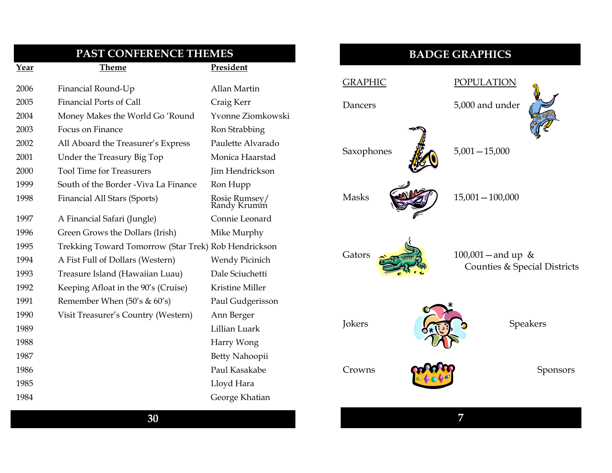| PAST CONFERENCE THEMES |                                                      |                              |
|------------------------|------------------------------------------------------|------------------------------|
| Year                   | <b>Theme</b>                                         | President                    |
| 2006                   | Financial Round-Up                                   | Allan Martin                 |
| 2005                   | <b>Financial Ports of Call</b>                       | Craig Kerr                   |
| 2004                   | Money Makes the World Go'Round                       | Yvonne Ziomkowski            |
| 2003                   | Focus on Finance                                     | Ron Strabbing                |
| 2002                   | All Aboard the Treasurer's Express                   | Paulette Alvarado            |
| 2001                   | Under the Treasury Big Top                           | Monica Haarstad              |
| 2000                   | <b>Tool Time for Treasurers</b>                      | Jim Hendrickson              |
| 1999                   | South of the Border - Viva La Finance                | Ron Hupp                     |
| 1998                   | Financial All Stars (Sports)                         | Rosie Rumsey/<br>Randy Krumm |
| 1997                   | A Financial Safari (Jungle)                          | Connie Leonard               |
| 1996                   | Green Grows the Dollars (Irish)                      | Mike Murphy                  |
| 1995                   | Trekking Toward Tomorrow (Star Trek) Rob Hendrickson |                              |
| 1994                   | A Fist Full of Dollars (Western)                     | <b>Wendy Picinich</b>        |
| 1993                   | Treasure Island (Hawaiian Luau)                      | Dale Sciuchetti              |
| 1992                   | Keeping Afloat in the 90's (Cruise)                  | Kristine Miller              |
| 1991                   | Remember When $(50's & 60's)$                        | Paul Gudgerisson             |
| 1990                   | Visit Treasurer's Country (Western)                  | Ann Berger                   |
| 1989                   |                                                      | Lillian Luark                |
| 1988                   |                                                      | Harry Wong                   |
| 1987                   |                                                      | Betty Nahoopii               |
| 1986                   |                                                      | Paul Kasakabe                |
| 1985                   |                                                      | Lloyd Hara                   |
| 1984                   |                                                      | George Khatian               |
|                        |                                                      |                              |

## **BADGE GRAPHICS**

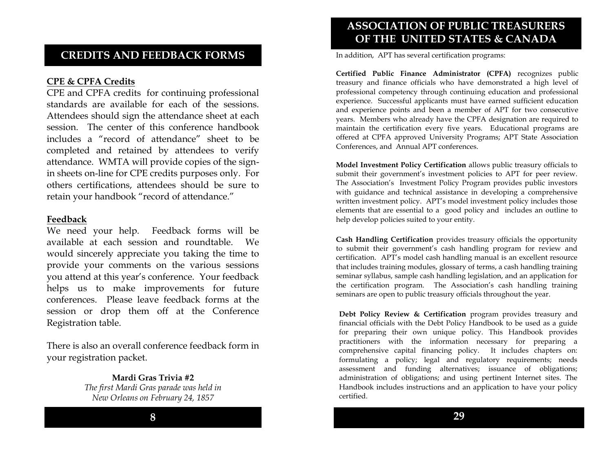## **CREDITS AND FEEDBACK FORMS**

#### **CPE & CPFA Credits**

CPE and CPFA credits for continuing professional standards are available for each of the sessions. Attendees should sign the attendance sheet at each session. The center of this conference handbook includes a "record of attendance" sheet to be completed and retained by attendees to verify attendance. WMTA will provide copies of the signin sheets on-line for CPE credits purposes only. For others certifications, attendees should be sure to retain your handbook "record of attendance."

#### **Feedback**

We need your help. Feedback forms will be available at each session and roundtable. We would sincerely appreciate you taking the time to provide your comments on the various sessions you attend at this year's conference. Your feedback helps us to make improvements for future conferences. Please leave feedback forms at the session or drop them off at the Conference Registration table.

There is also an overall conference feedback form in your registration packet.

> **Mardi Gras Trivia #2** *The first Mardi Gras parade was held in New Orleans on February 24, 1857*

> > **8**

## **ASSOCIATION OF PUBLIC TREASURERS OF THE UNITED STATES & CANADA**

In addition, APT has several certification programs:

**Certified Public Finance Administrator (CPFA)** recognizes public treasury and finance officials who have demonstrated a high level of professional competency through continuing education and professional experience. Successful applicants must have earned sufficient education and experience points and been a member of APT for two consecutive years. Members who already have the CPFA designation are required to maintain the certification every five years. Educational programs are offered at CPFA approved University Programs; APT State Association Conferences, and Annual APT conferences.

**Model Investment Policy Certification** allows public treasury officials to submit their government's investment policies to APT for peer review. The Association's Investment Policy Program provides public investors with guidance and technical assistance in developing a comprehensive written investment policy. APT's model investment policy includes those elements that are essential to a good policy and includes an outline to help develop policies suited to your entity.

**Cash Handling Certification** provides treasury officials the opportunity to submit their government's cash handling program for review and certification. APT's model cash handling manual is an excellent resource that includes training modules, glossary of terms, a cash handling training seminar syllabus, sample cash handling legislation, and an application for the certification program. The Association's cash handling training seminars are open to public treasury officials throughout the year.

**Debt Policy Review & Certification** program provides treasury and financial officials with the Debt Policy Handbook to be used as a guide for preparing their own unique policy. This Handbook provides practitioners with the information necessary for preparing a comprehensive capital financing policy. It includes chapters on: formulating a policy; legal and regulatory requirements; needs assessment and funding alternatives; issuance of obligations; administration of obligations; and using pertinent Internet sites. The Handbook includes instructions and an application to have your policy certified.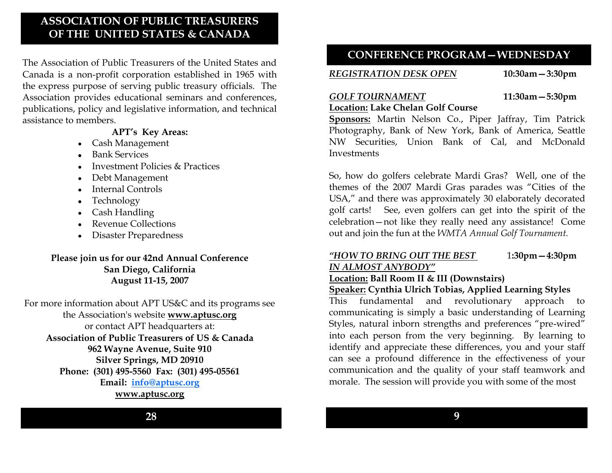## **ASSOCIATION OF PUBLIC TREASURERS OF THE UNITED STATES & CANADA**

The Association of Public Treasurers of the United States and Canada is a non-profit corporation established in 1965 with the express purpose of serving public treasury officials. The Association provides educational seminars and conferences, publications, policy and legislative information, and technical assistance to members.

#### **APT's Key Areas:**

- Cash Management
- Bank Services
- $\bullet$  Investment Policies & Practices
- Debt Management
- Internal Controls
- Technology
- Cash Handling
- Revenue Collections
- Disaster Preparedness

## **Please join us for our 42nd Annual Conference San Diego, California August 11-15, 2007**

For more information about APT US&C and its programs see the Association's website **www.aptusc.org**  or contact APT headquarters at: **Association of Public Treasurers of US & Canada 962 Wayne Avenue, Suite 910 Silver Springs, MD 20910 Phone: (301) 495-5560 Fax: (301) 495-05561 Email: [info@aptusc.org](mailto:info@aptusc.org) www.aptusc.org**

## **CONFERENCE PROGRAM—WEDNESDAY**

## *REGISTRATION DESK OPEN* **10:30am—3:30pm**

## *GOLF TOURNAMENT* **11:30am—5:30pm**

**Location: Lake Chelan Golf Course Sponsors:** Martin Nelson Co., Piper Jaffray, Tim Patrick Photography, Bank of New York, Bank of America, Seattle NW Securities, Union Bank of Cal, and McDonald **Investments** 

So, how do golfers celebrate Mardi Gras? Well, one of the themes of the 2007 Mardi Gras parades was "Cities of the USA," and there was approximately 30 elaborately decorated golf carts! See, even golfers can get into the spirit of the celebration—not like they really need any assistance! Come out and join the fun at the *WMTA Annual Golf Tournament.*

## *"HOW TO BRING OUT THE BEST* 1**:30pm—4:30pm** *IN ALMOST ANYBODY"*

## **Location: Ball Room II & III (Downstairs)**

## **Speaker: Cynthia Ulrich Tobias, Applied Learning Styles**

This fundamental and revolutionary approach to communicating is simply a basic understanding of Learning Styles, natural inborn strengths and preferences "pre-wired" into each person from the very beginning. By learning to identify and appreciate these differences, you and your staff can see a profound difference in the effectiveness of your communication and the quality of your staff teamwork and morale. The session will provide you with some of the most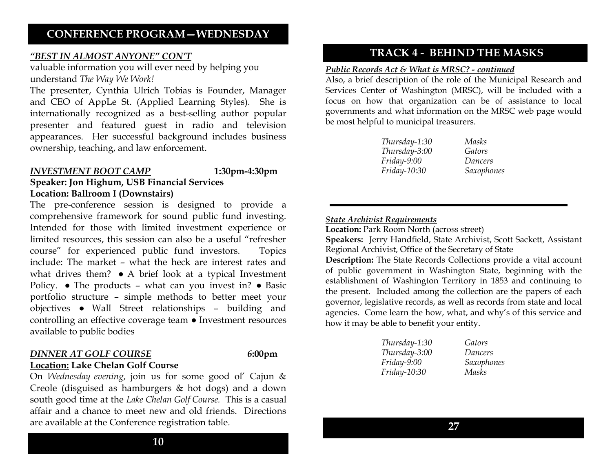## **CONFERENCE PROGRAM—WEDNESDAY**

#### *"BEST IN ALMOST ANYONE" CON'T*

valuable information you will ever need by helping you understand *The Way We Work!*

The presenter, Cynthia Ulrich Tobias is Founder, Manager and CEO of AppLe St. (Applied Learning Styles). She is internationally recognized as a best-selling author popular presenter and featured guest in radio and television appearances. Her successful background includes business ownership, teaching, and law enforcement.

#### *INVESTMENT BOOT CAMP* **1:30pm-4:30pm**

### **Speaker: Jon Highum, USB Financial Services Location: Ballroom I (Downstairs)**

The pre-conference session is designed to provide a comprehensive framework for sound public fund investing. Intended for those with limited investment experience or limited resources, this session can also be a useful "refresher course‖ for experienced public fund investors. Topics include: The market – what the heck are interest rates and what drives them? • A brief look at a typical Investment Policy. ● The products – what can you invest in? ● Basic portfolio structure – simple methods to better meet your objectives ● Wall Street relationships – building and controlling an effective coverage team ● Investment resources available to public bodies

#### *DINNER AT GOLF COURSE 6***:00pm**

**Location: Lake Chelan Golf Course**

On *Wednesday evening*, join us for some good ol' Cajun & Creole (disguised as hamburgers & hot dogs) and a down south good time at the *Lake Chelan Golf Course.* This is a casual affair and a chance to meet new and old friends. Directions are available at the Conference registration table.

## **TRACK 4 - BEHIND THE MASKS**

#### *Public Records Act & What is MRSC? - continued*

Also, a brief description of the role of the Municipal Research and Services Center of Washington (MRSC), will be included with a focus on how that organization can be of assistance to local governments and what information on the MRSC web page would be most helpful to municipal treasurers.

| Thursday-1:30 | Masks      |
|---------------|------------|
| Thursday-3:00 | Gators     |
| Friday-9:00   | Dancers    |
| Friday-10:30  | Saxophones |

#### *State Archivist Requirements*

**Location:** Park Room North (across street)

**Speakers:** Jerry Handfield, State Archivist, Scott Sackett, Assistant Regional Archivist, Office of the Secretary of State

**Description:** The State Records Collections provide a vital account of public government in Washington State, beginning with the establishment of Washington Territory in 1853 and continuing to the present. Included among the collection are the papers of each governor, legislative records, as well as records from state and local agencies. Come learn the how, what, and why's of this service and how it may be able to benefit your entity.

| Gators     |
|------------|
| Dancers    |
| Saxophones |
| Masks      |
|            |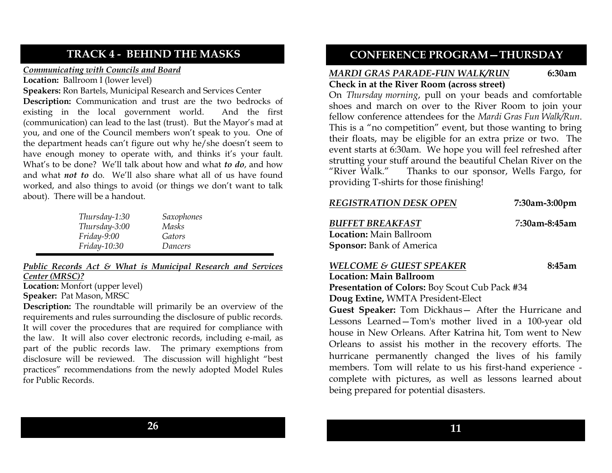## **TRACK 4 - BEHIND THE MASKS**

#### *Communicating with Councils and Board*

**Location:** Ballroom I (lower level)

**Speakers:** Ron Bartels, Municipal Research and Services Center

**Description:** Communication and trust are the two bedrocks of existing in the local government world. And the first (communication) can lead to the last (trust). But the Mayor's mad at you, and one of the Council members won't speak to you. One of the department heads can't figure out why he/she doesn't seem to have enough money to operate with, and thinks it's your fault. What's to be done? We'll talk about how and what *to do*, and how and what *not to* do. We'll also share what all of us have found worked, and also things to avoid (or things we don't want to talk about). There will be a handout.

| Thursday-1:30 | Saxophones |
|---------------|------------|
| Thursday-3:00 | Masks      |
| $Friday-9:00$ | Gators     |
| Friday-10:30  | Dancers    |

*Public Records Act & What is Municipal Research and Services Center (MRSC)?*

**Location:** Monfort (upper level) **Speaker:** Pat Mason, MRSC

**Description:** The roundtable will primarily be an overview of the requirements and rules surrounding the disclosure of public records. It will cover the procedures that are required for compliance with the law. It will also cover electronic records, including e-mail, as part of the public records law. The primary exemptions from disclosure will be reviewed. The discussion will highlight "best practices" recommendations from the newly adopted Model Rules for Public Records.

## **CONFERENCE PROGRAM—THURSDAY**

#### *MARDI GRAS PARADE-FUN WALK/RUN* **6:30am Check in at the River Room (across street)**

On *Thursday morning*, pull on your beads and comfortable shoes and march on over to the River Room to join your fellow conference attendees for the *Mardi Gras Fun Walk/Run*. This is a "no competition" event, but those wanting to bring their floats, may be eligible for an extra prize or two. The event starts at 6:30am. We hope you will feel refreshed after strutting your stuff around the beautiful Chelan River on the "River Walk." Thanks to our sponsor, Wells Fargo, for providing T-shirts for those finishing!

| <b>REGISTRATION DESK OPEN</b>                                                    | 7:30am-3:00pm |
|----------------------------------------------------------------------------------|---------------|
| <b>BUFFET BREAKFAST</b>                                                          | 7:30am-8:45am |
| <b>Location:</b> Main Ballroom                                                   |               |
| <b>Sponsor:</b> Bank of America                                                  |               |
| <b>WELCOME &amp; GUEST SPEAKER</b>                                               | 8:45am        |
| $\mathbf{I}$ and $\mathbf{I}$ and $\mathbf{M}$ and $\mathbf{D}$ all $\mathbf{L}$ |               |

**Location: Main Ballroom Presentation of Colors:** Boy Scout Cub Pack #34 **Doug Extine,** WMTA President-Elect

**Guest Speaker:** Tom Dickhaus— After the Hurricane and Lessons Learned—Tom's mother lived in a 100-year old house in New Orleans. After Katrina hit, Tom went to New Orleans to assist his mother in the recovery efforts. The hurricane permanently changed the lives of his family members. Tom will relate to us his first-hand experience complete with pictures, as well as lessons learned about being prepared for potential disasters.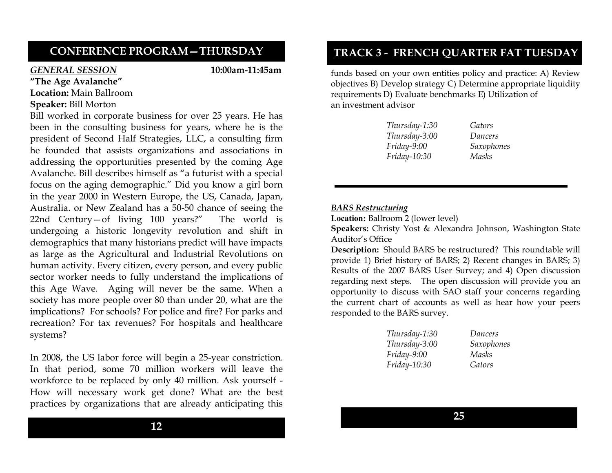## **CONFERENCE PROGRAM—THURSDAY**

#### *GENERAL SESSION* **10:00am-11:45am**

- **"The Age Avalanche" Location:** Main Ballroom
- **Speaker:** Bill Morton

Bill worked in corporate business for over 25 years. He has been in the consulting business for years, where he is the president of Second Half Strategies, LLC, a consulting firm he founded that assists organizations and associations in addressing the opportunities presented by the coming Age Avalanche. Bill describes himself as "a futurist with a special focus on the aging demographic.‖ Did you know a girl born in the year 2000 in Western Europe, the US, Canada, Japan, Australia. or New Zealand has a 50-50 chance of seeing the 22nd Century-of living  $100$  years?" The world is undergoing a historic longevity revolution and shift in demographics that many historians predict will have impacts as large as the Agricultural and Industrial Revolutions on human activity. Every citizen, every person, and every public sector worker needs to fully understand the implications of this Age Wave. Aging will never be the same. When a society has more people over 80 than under 20, what are the implications? For schools? For police and fire? For parks and recreation? For tax revenues? For hospitals and healthcare systems?

In 2008, the US labor force will begin a 25-year constriction. In that period, some 70 million workers will leave the workforce to be replaced by only 40 million. Ask yourself - How will necessary work get done? What are the best practices by organizations that are already anticipating this

## **12**

## **TRACK 3 - FRENCH QUARTER FAT TUESDAY**

funds based on your own entities policy and practice: A) Review objectives B) Develop strategy C) Determine appropriate liquidity requirements D) Evaluate benchmarks E) Utilization of an investment advisor

> *Thursday-1:30 Gators Thursday-3:00 Dancers Friday-9:00 Saxophones Friday-10:30 Masks*

#### *BARS Restructuring*

**Location:** Ballroom 2 (lower level)

**Speakers:** Christy Yost & Alexandra Johnson, Washington State Auditor's Office

**Description:** Should BARS be restructured? This roundtable will provide 1) Brief history of BARS; 2) Recent changes in BARS; 3) Results of the 2007 BARS User Survey; and 4) Open discussion regarding next steps. The open discussion will provide you an opportunity to discuss with SAO staff your concerns regarding the current chart of accounts as well as hear how your peers responded to the BARS survey.

| Dancers    |
|------------|
| Saxophones |
| Masks      |
| Gators     |
|            |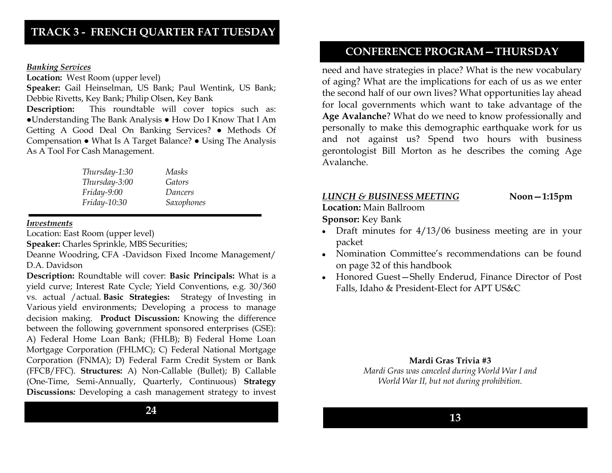#### *Banking Services*

**Location:** West Room (upper level)

**Speaker:** Gail Heinselman, US Bank; Paul Wentink, US Bank; Debbie Rivetts, Key Bank; Philip Olsen, Key Bank

**Description:** This roundtable will cover topics such as: ●Understanding The Bank Analysis ● How Do I Know That I Am Getting A Good Deal On Banking Services? ● Methods Of Compensation ● What Is A Target Balance? ● Using The Analysis As A Tool For Cash Management.

| Thursday-1:30 | Masks             |
|---------------|-------------------|
| Thursday-3:00 | Gators            |
| Friday-9:00   | Dancers           |
| Friday-10:30  | <b>Saxophones</b> |

#### *Investments*

Location: East Room (upper level)

**Speaker:** Charles Sprinkle, MBS Securities;

Deanne Woodring, CFA -Davidson Fixed Income Management/ D.A. Davidson

**Description:** Roundtable will cover: **Basic Principals:** What is a yield curve; Interest Rate Cycle; Yield Conventions, e.g. 30/360 vs. actual /actual. **Basic Strategies:** Strategy of Investing in Various yield environments; Developing a process to manage decision making. **Product Discussion:** Knowing the difference between the following government sponsored enterprises (GSE): A) Federal Home Loan Bank; (FHLB); B) Federal Home Loan Mortgage Corporation (FHLMC); C) Federal National Mortgage Corporation (FNMA); D) Federal Farm Credit System or Bank (FFCB/FFC). **Structures:** A) Non-Callable (Bullet); B) Callable (One-Time, Semi-Annually, Quarterly, Continuous) **Strategy Discussions***:* Developing a cash management strategy to invest

## **CONFERENCE PROGRAM—THURSDAY**

need and have strategies in place? What is the new vocabulary of aging? What are the implications for each of us as we enter the second half of our own lives? What opportunities lay ahead for local governments which want to take advantage of the **Age Avalanche**? What do we need to know professionally and personally to make this demographic earthquake work for us and not against us? Spend two hours with business gerontologist Bill Morton as he describes the coming Age Avalanche.

#### *LUNCH & BUSINESS MEETING* **Noon—1:15pm**

**Location:** Main Ballroom

**Sponsor:** Key Bank

- Draft minutes for  $4/13/06$  business meeting are in your packet
- Nomination Committee's recommendations can be found on page 32 of this handbook
- Honored Guest—Shelly Enderud, Finance Director of Post Falls, Idaho & President-Elect for APT US&C

#### **Mardi Gras Trivia #3**

*Mardi Gras was canceled during World War I and World War II, but not during prohibition.*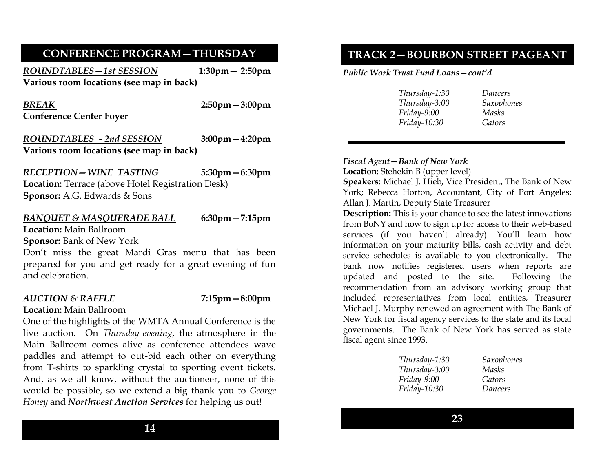## **CONFERENCE PROGRAM—THURSDAY**

*ROUNDTABLES—1st SESSION* **1:30pm— 2:50pm Various room locations (see map in back)**

*BREAK* **2:50pm—3:00pm Conference Center Foyer** 

*ROUNDTABLES - 2nd SESSION* **3:00pm—4:20pm Various room locations (see map in back)**

## *RECEPTION—WINE TASTING* **5:30pm—6:30pm**

**Location:** Terrace (above Hotel Registration Desk) **Sponsor:** A.G. Edwards & Sons

### *BANQUET & MASQUERADE BALL* **6:30pm—7:15pm**

**Location:** Main Ballroom

**Sponsor:** Bank of New York

Don't miss the great Mardi Gras menu that has been prepared for you and get ready for a great evening of fun and celebration.

## *AUCTION & RAFFLE* **7:15pm—8:00pm**

**Location:** Main Ballroom

One of the highlights of the WMTA Annual Conference is the live auction. On *Thursday evening*, the atmosphere in the Main Ballroom comes alive as conference attendees wave paddles and attempt to out-bid each other on everything from T-shirts to sparkling crystal to sporting event tickets. And, as we all know, without the auctioneer, none of this would be possible, so we extend a big thank you to *George Honey* and *Northwest Auction Services* for helping us out!

*Public Work Trust Fund Loans—cont'd*

| Thursday-1:30 | Dancers    |
|---------------|------------|
| Thursday-3:00 | Saxophones |
| Friday-9:00   | Masks      |
| Friday-10:30  | Gators     |

## *Fiscal Agent—Bank of New York*

**Location:** Stehekin B (upper level)

**Speakers:** Michael J. Hieb, Vice President, The Bank of New York; Rebecca Horton, Accountant, City of Port Angeles; Allan J. Martin, Deputy State Treasurer

**Description:** This is your chance to see the latest innovations from BoNY and how to sign up for access to their web-based services (if you haven't already). You'll learn how information on your maturity bills, cash activity and debt service schedules is available to you electronically. The bank now notifies registered users when reports are updated and posted to the site. Following the recommendation from an advisory working group that included representatives from local entities, Treasurer Michael J. Murphy renewed an agreement with The Bank of New York for fiscal agency services to the state and its local governments. The Bank of New York has served as state fiscal agent since 1993.

| Saxophones |
|------------|
| Masks      |
| Gators     |
| Dancers    |
|            |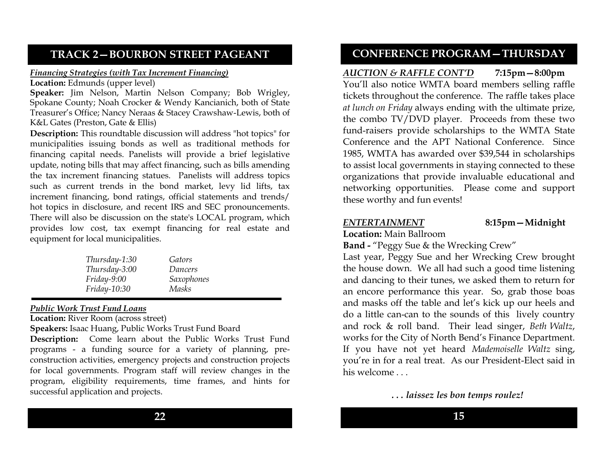## **TRACK 2—BOURBON STREET PAGEANT**

#### *Financing Strategies (with Tax Increment Financing)*

**Location:** Edmunds (upper level)

**Speaker:** Jim Nelson, Martin Nelson Company; Bob Wrigley, Spokane County; Noah Crocker & Wendy Kancianich, both of State Treasurer's Office; Nancy Neraas & Stacey Crawshaw-Lewis, both of K&L Gates (Preston, Gate & Ellis)

**Description:** This roundtable discussion will address "hot topics" for municipalities issuing bonds as well as traditional methods for financing capital needs. Panelists will provide a brief legislative update, noting bills that may affect financing, such as bills amending the tax increment financing statues. Panelists will address topics such as current trends in the bond market, levy lid lifts, tax increment financing, bond ratings, official statements and trends/ hot topics in disclosure, and recent IRS and SEC pronouncements. There will also be discussion on the state's LOCAL program, which provides low cost, tax exempt financing for real estate and equipment for local municipalities.

| Thursday-1:30 | Gators     |
|---------------|------------|
| Thursday-3:00 | Dancers    |
| Friday-9:00   | Saxophones |
| Friday-10:30  | Masks      |

## *Public Work Trust Fund Loans*

**Location:** River Room (across street)

**Speakers:** Isaac Huang, Public Works Trust Fund Board

**Description:** Come learn about the Public Works Trust Fund programs - a funding source for a variety of planning, preconstruction activities, emergency projects and construction projects for local governments. Program staff will review changes in the program, eligibility requirements, time frames, and hints for successful application and projects.

## **CONFERENCE PROGRAM—THURSDAY**

*AUCTION & RAFFLE CONT'D* **7:15pm—8:00pm** You'll also notice WMTA board members selling raffle tickets throughout the conference. The raffle takes place *at lunch on Friday* always ending with the ultimate prize, the combo TV/DVD player. Proceeds from these two fund-raisers provide scholarships to the WMTA State Conference and the APT National Conference. Since 1985, WMTA has awarded over \$39,544 in scholarships to assist local governments in staying connected to these organizations that provide invaluable educational and networking opportunities. Please come and support these worthy and fun events!

## *ENTERTAINMENT* **8:15pm—Midnight**

**Location:** Main Ballroom

**Band -** "Peggy Sue & the Wrecking Crew"

Last year, Peggy Sue and her Wrecking Crew brought the house down. We all had such a good time listening and dancing to their tunes, we asked them to return for an encore performance this year. So, grab those boas and masks off the table and let's kick up our heels and do a little can-can to the sounds of this lively country and rock & roll band. Their lead singer, *Beth Waltz*, works for the City of North Bend's Finance Department. If you have not yet heard *Mademoiselle Waltz* sing, you're in for a real treat. As our President-Elect said in his welcome . . .

*. . . laissez les bon temps roulez!*

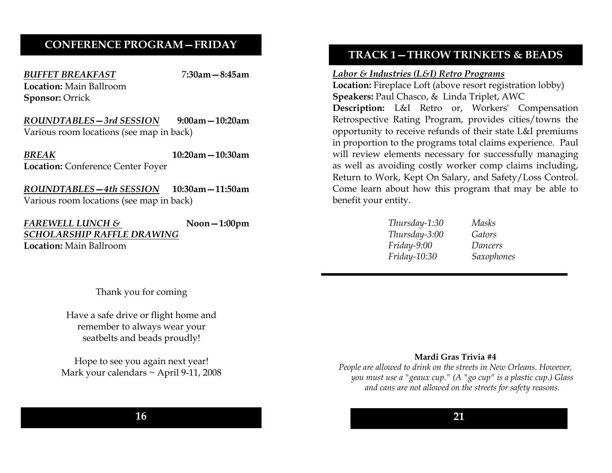## **CONFERENCE PROGRAM—FRIDAY**

*BUFFET BREAKFAST* 7**:30am—8:45am Location:** Main Ballroom **Sponsor:** Orrick

*ROUNDTABLES—3rd SESSION* **9:00am—10:20am** Various room locations (see map in back)

*BREAK* **10:20am—10:30am Location:** Conference Center Foyer

*ROUNDTABLES—4th SESSION* **10:30am—11:50am** Various room locations (see map in back)

*FAREWELL LUNCH &* **Noon—1:00pm** *SCHOLARSHIP RAFFLE DRAWING* **Location:** Main Ballroom

**TRACK 1—THROW TRINKETS & BEADS**

#### *Labor & Industries (L&I) Retro Programs*

**Location:** Fireplace Loft (above resort registration lobby) **Speakers:** Paul Chasco, & Linda Triplet, AWC **Description:** L&I Retro or, Workers' Compensation Retrospective Rating Program, provides cities/towns the opportunity to receive refunds of their state L&I premiums in proportion to the programs total claims experience. Paul will review elements necessary for successfully managing as well as avoiding costly worker comp claims including, Return to Work, Kept On Salary, and Safety/Loss Control. Come learn about how this program that may be able to benefit your entity.

| Thursday-1:30 | <b>Masks</b> |
|---------------|--------------|
| Thursday-3:00 | Gators       |
| Friday-9:00   | Dancers      |
| Friday-10:30  | Saxophones   |

Thank you for coming

Have a safe drive or flight home and remember to always wear your seatbelts and beads proudly!

Hope to see you again next year! Mark your calendars ~ April 9-11, 2008 **Mardi Gras Trivia #4**

*People are allowed to drink on the streets in New Orleans. However, you must use a "geaux cup." (A "go cup" is a plastic cup.) Glass and cans are not allowed on the streets for safety reasons.*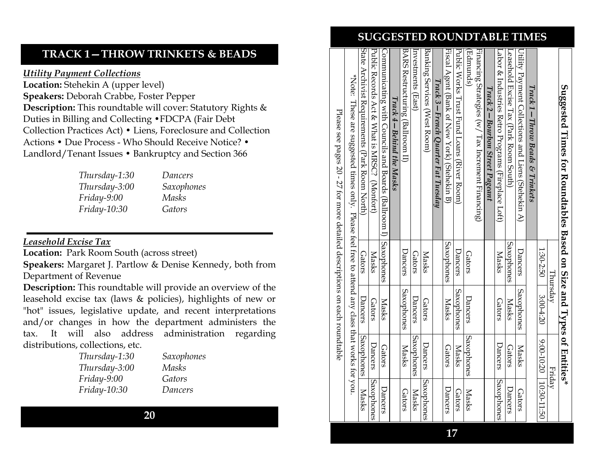## **TRACK 1—THROW TRINKETS & BEADS**

*Utility Payment Collections*

Location: Stehekin A (upper level) **Speakers:** Deborah Crabbe, Foster Pepper **Description:** This roundtable will cover: Statutory Rights & Duties in Billing and Collecting •FDCPA (Fair Debt Collection Practices Act) • Liens, Foreclosure and Collection Actions • Due Process - Who Should Receive Notice? • Landlord/Tenant Issues • Bankruptcy and Section 366

> *Thursday-1:30 Dancers Thursday-3:00 Saxophones Friday-9:00 Masks Friday-10:30 Gators*

## *Leasehold Excise Tax*

**Location:** Park Room South (across street)

**Speakers:** Margaret J. Partlow & Denise Kennedy, both from Department of Revenue

**Description:** This roundtable will provide an overview of the leasehold excise tax (laws & policies), highlights of new or "hot" issues, legislative update, and recent interpretations and/or changes in how the department administers the tax. It will also address administration regarding distributions, collections, etc.

| Saxophones |
|------------|
| Masks      |
| Gators     |
| Dancers    |
|            |

**20**

## **SUGGESTED ROUNDTABLE TIMES**

| Suggested Times for Roundtables Based on Size and Types of Entities*                               |               |               |                               |                   |
|----------------------------------------------------------------------------------------------------|---------------|---------------|-------------------------------|-------------------|
|                                                                                                    |               | Thursday      | Fridav                        |                   |
|                                                                                                    | 1:30-2:50     | 3:00-4:20     | $-0.500$ -10.20   10.30-11.50 |                   |
| $Trace$ 1 – Throw Beads & Trinkets                                                                 |               |               |                               |                   |
| Utility Payment Collections and Liens (Stehekin A)                                                 | Dancers       | Saxophones    | Masks                         | Gators            |
| Leasehold Excise Tax (Park Room South)                                                             | Saxophones    | Masks         | <b>Gators</b>                 | Dancers           |
| Labor & Industries Retro Programs (Fireplace Loft)                                                 | <b>Masks</b>  | <b>Gators</b> | Dancers                       | <b>Saxophones</b> |
| $\Gamma$ rack 2 – Bourbon Street Pageant                                                           |               |               |                               |                   |
| Financing Strategies (w/ Tax Increment Financing)                                                  |               |               |                               |                   |
| [Edmunds]                                                                                          | <b>Gators</b> | Dancers       | Saxophones                    | Masks             |
| Public Works Trust Fund Loans (River Room)                                                         | Dancers       | Saxophones    | Masks                         | <b>Gators</b>     |
| Fiscal Agent (Bank of New York) (Stehekin B)                                                       | Saxophones    | Masks         | <b>Gators</b>                 | Dancers           |
| Track 3 – French Quarter Fat Tuesday                                                               |               |               |                               |                   |
| Banking Services (West Room)                                                                       | Masks         | Gators        | Dancers                       | Saxophones        |
| Investments (East)                                                                                 | <b>Gators</b> | Dancers       | Saxophones                    | Masks             |
| BARS Restructuring (Ballroom II)                                                                   | Dancers       | Saxophones    | <b>Masks</b>                  | <b>Gators</b>     |
| Track $4 - Belnind$ the Masks                                                                      |               |               |                               |                   |
| Communicating with Councils and Boards (Ballroom I) Saxophones                                     |               | Masks         | Gators                        | Dancers           |
| Profic Records Act & NABC.? (Notic Records of Act & NAB)                                           | Masks         | <b>Gators</b> | Dancers                       | Saxophones        |
| State Archivist Requirements (Park Room North)                                                     | <b>Gators</b> | Dancers       | Saxophones                    | <b>Masks</b>      |
| $*$ Note: These are suggested times only. Please teel tree to attend any class that works for you. |               |               |                               |                   |
| Please see pages 20 - 27 for more detailed descriptions on each roundtable                         |               |               |                               |                   |